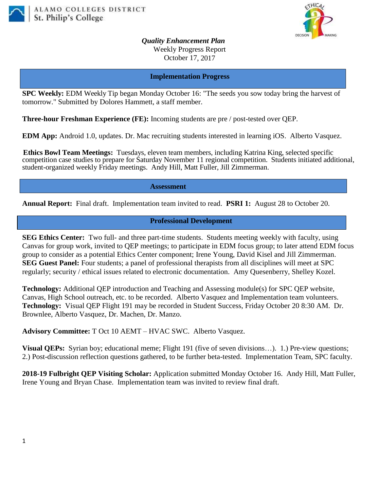



*Quality Enhancement Plan* Weekly Progress Report October 17, 2017

### **Implementation Progress**

**SPC Weekly:** EDM Weekly Tip began Monday October 16: "The seeds you sow today bring the harvest of tomorrow." Submitted by Dolores Hammett, a staff member.

**Three-hour Freshman Experience (FE):** Incoming students are pre / post-tested over QEP.

**EDM App:** Android 1.0, updates. Dr. Mac recruiting students interested in learning iOS. Alberto Vasquez.

**Ethics Bowl Team Meetings:** Tuesdays, eleven team members, including Katrina King, selected specific competition case studies to prepare for Saturday November 11 regional competition. Students initiated additional, student-organized weekly Friday meetings. Andy Hill, Matt Fuller, Jill Zimmerman.

**Assessment**

**Annual Report:** Final draft. Implementation team invited to read. **PSRI 1:** August 28 to October 20.

#### **Professional Development**

**SEG Ethics Center:** Two full- and three part-time students. Students meeting weekly with faculty, using Canvas for group work, invited to QEP meetings; to participate in EDM focus group; to later attend EDM focus group to consider as a potential Ethics Center component; Irene Young, David Kisel and Jill Zimmerman. **SEG Guest Panel:** Four students; a panel of professional therapists from all disciplines will meet at SPC regularly; security / ethical issues related to electronic documentation. Amy Quesenberry, Shelley Kozel.

**Technology:** Additional QEP introduction and Teaching and Assessing module(s) for SPC QEP website, Canvas, High School outreach, etc. to be recorded. Alberto Vasquez and Implementation team volunteers. **Technology:** Visual QEP Flight 191 may be recorded in Student Success, Friday October 20 8:30 AM. Dr. Brownlee, Alberto Vasquez, Dr. Machen, Dr. Manzo.

**Advisory Committee:** T Oct 10 AEMT – HVAC SWC. Alberto Vasquez.

**Visual QEPs:** Syrian boy; educational meme; Flight 191 (five of seven divisions...). 1.) Pre-view questions; 2.) Post-discussion reflection questions gathered, to be further beta-tested. Implementation Team, SPC faculty.

**2018-19 Fulbright QEP Visiting Scholar:** Application submitted Monday October 16. Andy Hill, Matt Fuller, Irene Young and Bryan Chase. Implementation team was invited to review final draft.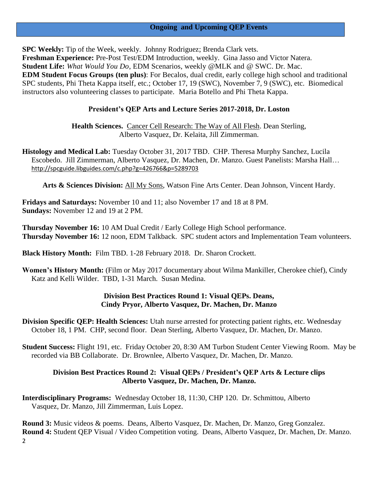# **Ongoing and Upcoming QEP Events**

**SPC Weekly:** Tip of the Week, weekly. Johnny Rodriguez; Brenda Clark vets. **Freshman Experience:** Pre-Post Test/EDM Introduction, weekly. Gina Jasso and Victor Natera. **Student Life:** *What Would You Do*, EDM Scenarios, weekly @MLK and @ SWC. Dr. Mac. **EDM Student Focus Groups (ten plus)**: For Becalos, dual credit, early college high school and traditional SPC students, Phi Theta Kappa itself, etc.; October 17, 19 (SWC), November 7, 9 (SWC), etc. Biomedical instructors also volunteering classes to participate. Maria Botello and Phi Theta Kappa.

#### **President's QEP Arts and Lecture Series 2017-2018, Dr. Loston**

**Health Sciences.** Cancer Cell Research: The Way of All Flesh. Dean Sterling, Alberto Vasquez, Dr. Kelaita, Jill Zimmerman.

**Histology and Medical Lab:** Tuesday October 31, 2017 TBD. CHP. Theresa Murphy Sanchez, Lucila Escobedo. Jill Zimmerman, Alberto Vasquez, Dr. Machen, Dr. Manzo. Guest Panelists: Marsha Hall… [http://spcguide.libguides.com/c.php?g=426766&p=5289703](https://mail.alamo.edu/owa/redir.aspx?C=O6iqIsLSuf3ovY1b3KnDXbqIbPdR_pjdMUVY5pKWykLtsQQH7BTVCA..&URL=http%3a%2f%2fspcguide.libguides.com%2fc.php%3fg%3d426766%26p%3d5289703)

**Arts & Sciences Division:** All My Sons, Watson Fine Arts Center. Dean Johnson, Vincent Hardy.

**Fridays and Saturdays:** November 10 and 11; also November 17 and 18 at 8 PM. **Sundays:** November 12 and 19 at 2 PM.

**Thursday November 16:** 10 AM Dual Credit / Early College High School performance. **Thursday November 16:** 12 noon, EDM Talkback. SPC student actors and Implementation Team volunteers.

**Black History Month:** Film TBD. 1-28 February 2018. Dr. Sharon Crockett.

**Women's History Month:** (Film or May 2017 documentary about Wilma Mankiller, Cherokee chief), Cindy Katz and Kelli Wilder. TBD, 1-31 March. Susan Medina.

#### **Division Best Practices Round 1: Visual QEPs. Deans, Cindy Pryor, Alberto Vasquez, Dr. Machen, Dr. Manzo**

**Division Specific QEP: Health Sciences:** Utah nurse arrested for protecting patient rights, etc. Wednesday October 18, 1 PM. CHP, second floor. Dean Sterling, Alberto Vasquez, Dr. Machen, Dr. Manzo.

**Student Success:** Flight 191, etc. Friday October 20, 8:30 AM Turbon Student Center Viewing Room. May be recorded via BB Collaborate. Dr. Brownlee, Alberto Vasquez, Dr. Machen, Dr. Manzo.

# **Division Best Practices Round 2: Visual QEPs / President's QEP Arts & Lecture clips Alberto Vasquez, Dr. Machen, Dr. Manzo.**

**Interdisciplinary Programs:** Wednesday October 18, 11:30, CHP 120. Dr. Schmittou, Alberto Vasquez, Dr. Manzo, Jill Zimmerman, Luis Lopez.

2 **Round 3:** Music videos & poems. Deans, Alberto Vasquez, Dr. Machen, Dr. Manzo, Greg Gonzalez. **Round 4:** Student QEP Visual / Video Competition voting. Deans, Alberto Vasquez, Dr. Machen, Dr. Manzo.